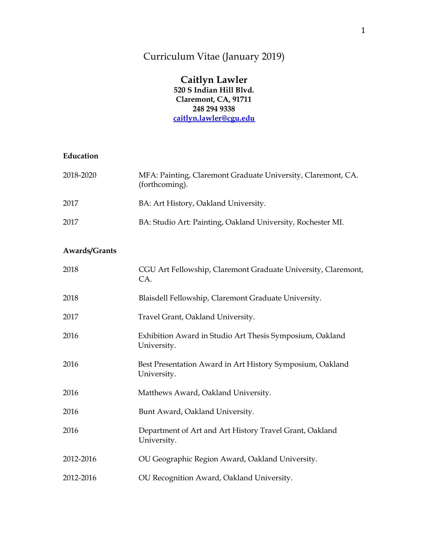# Curriculum Vitae (January 2019)

#### **Caitlyn Lawler 520 S Indian Hill Blvd. Claremont, CA, 91711 248 294 9338 [caitlyn.lawler@cgu.edu](mailto:cmlawler@oakland.edu)**

#### **Education**

| 2018-2020     | MFA: Painting, Claremont Graduate University, Claremont, CA.<br>(forthcoming). |
|---------------|--------------------------------------------------------------------------------|
| 2017          | BA: Art History, Oakland University.                                           |
| 2017          | BA: Studio Art: Painting, Oakland University, Rochester MI.                    |
| Awards/Grants |                                                                                |
| 2018          | CGU Art Fellowship, Claremont Graduate University, Claremont,<br>CA.           |
| 2018          | Blaisdell Fellowship, Claremont Graduate University.                           |
| 2017          | Travel Grant, Oakland University.                                              |
| 2016          | Exhibition Award in Studio Art Thesis Symposium, Oakland<br>University.        |
| 2016          | Best Presentation Award in Art History Symposium, Oakland<br>University.       |
| 2016          | Matthews Award, Oakland University.                                            |
| 2016          | Bunt Award, Oakland University.                                                |
| 2016          | Department of Art and Art History Travel Grant, Oakland<br>University.         |
| 2012-2016     | OU Geographic Region Award, Oakland University.                                |
| 2012-2016     | OU Recognition Award, Oakland University.                                      |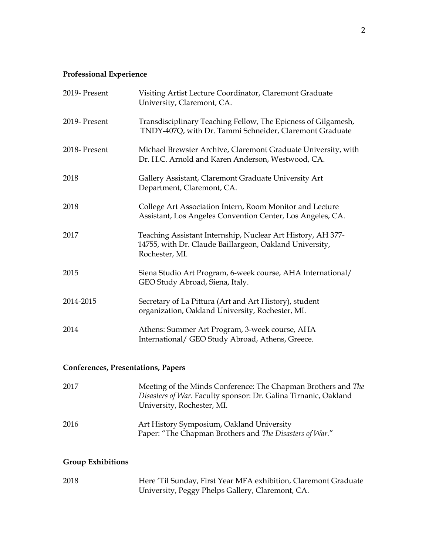# **Professional Experience**

| 2019- Present                                                                                                                                                                                                                          | Visiting Artist Lecture Coordinator, Claremont Graduate<br>University, Claremont, CA.                                                    |
|----------------------------------------------------------------------------------------------------------------------------------------------------------------------------------------------------------------------------------------|------------------------------------------------------------------------------------------------------------------------------------------|
| 2019- Present                                                                                                                                                                                                                          | Transdisciplinary Teaching Fellow, The Epicness of Gilgamesh,<br>TNDY-407Q, with Dr. Tammi Schneider, Claremont Graduate                 |
| 2018- Present                                                                                                                                                                                                                          | Michael Brewster Archive, Claremont Graduate University, with<br>Dr. H.C. Arnold and Karen Anderson, Westwood, CA.                       |
| 2018                                                                                                                                                                                                                                   | Gallery Assistant, Claremont Graduate University Art<br>Department, Claremont, CA.                                                       |
| 2018                                                                                                                                                                                                                                   | College Art Association Intern, Room Monitor and Lecture<br>Assistant, Los Angeles Convention Center, Los Angeles, CA.                   |
| 2017                                                                                                                                                                                                                                   | Teaching Assistant Internship, Nuclear Art History, AH 377-<br>14755, with Dr. Claude Baillargeon, Oakland University,<br>Rochester, MI. |
| 2015                                                                                                                                                                                                                                   | Siena Studio Art Program, 6-week course, AHA International/<br>GEO Study Abroad, Siena, Italy.                                           |
| 2014-2015                                                                                                                                                                                                                              | Secretary of La Pittura (Art and Art History), student<br>organization, Oakland University, Rochester, MI.                               |
| 2014                                                                                                                                                                                                                                   | Athens: Summer Art Program, 3-week course, AHA<br>International/ GEO Study Abroad, Athens, Greece.                                       |
| $\alpha$ . $\alpha$ is the same in the same in the same in the same in the same in the same in the same in the same in the same in the same in the same in the same in the same in the same in the same in the same in the same in the |                                                                                                                                          |

### **Conferences, Presentations, Papers**

| 2017 | Meeting of the Minds Conference: The Chapman Brothers and The<br>Disasters of War. Faculty sponsor: Dr. Galina Tirnanic, Oakland<br>University, Rochester, MI. |
|------|----------------------------------------------------------------------------------------------------------------------------------------------------------------|
| 2016 | Art History Symposium, Oakland University<br>Paper: "The Chapman Brothers and The Disasters of War."                                                           |

### **Group Exhibitions**

| 2018 | Here 'Til Sunday, First Year MFA exhibition, Claremont Graduate |
|------|-----------------------------------------------------------------|
|      | University, Peggy Phelps Gallery, Claremont, CA.                |